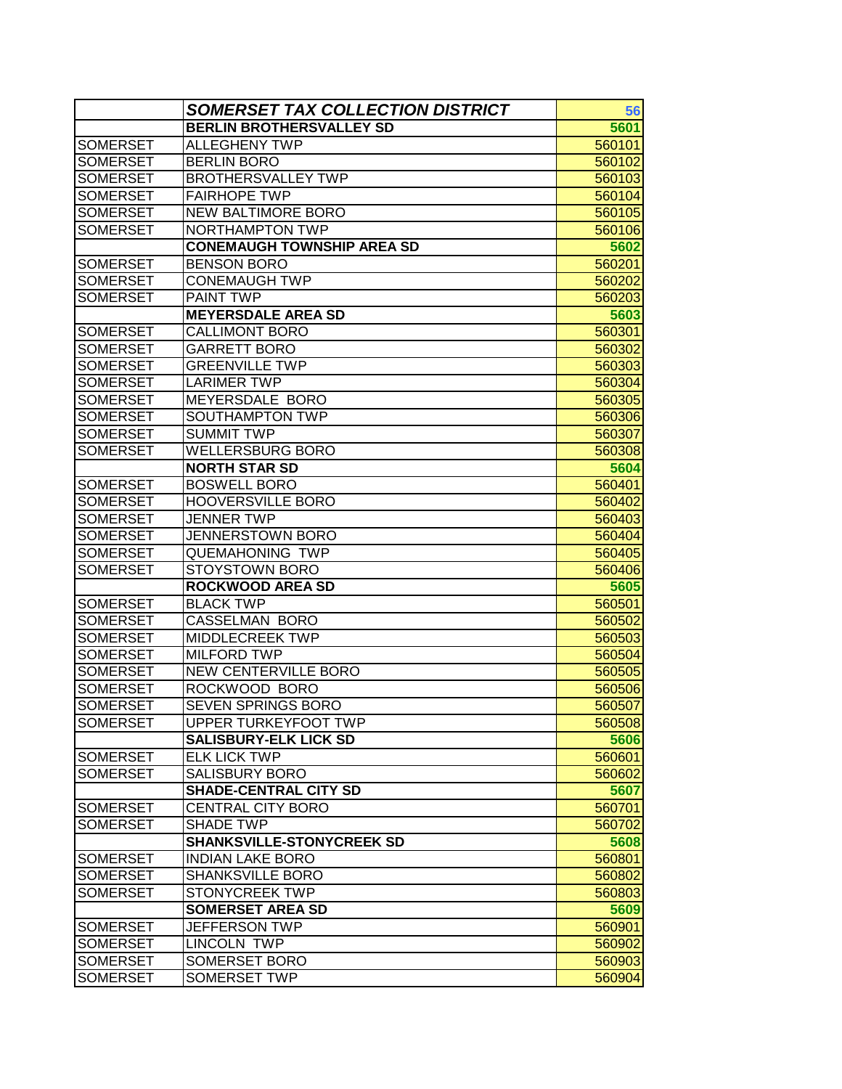|                 | SOMERSET TAX COLLECTION DISTRICT  | 56     |
|-----------------|-----------------------------------|--------|
|                 | <b>BERLIN BROTHERSVALLEY SD</b>   | 5601   |
| <b>SOMERSET</b> | <b>ALLEGHENY TWP</b>              | 560101 |
| <b>SOMERSET</b> | <b>BERLIN BORO</b>                | 560102 |
| <b>SOMERSET</b> | <b>BROTHERSVALLEY TWP</b>         | 560103 |
| <b>SOMERSET</b> | <b>FAIRHOPE TWP</b>               | 560104 |
| <b>SOMERSET</b> | <b>NEW BALTIMORE BORO</b>         | 560105 |
| <b>SOMERSET</b> | NORTHAMPTON TWP                   | 560106 |
|                 | <b>CONEMAUGH TOWNSHIP AREA SD</b> | 5602   |
| <b>SOMERSET</b> | <b>BENSON BORO</b>                | 560201 |
| <b>SOMERSET</b> | CONEMAUGH TWP                     | 560202 |
| <b>SOMERSET</b> | PAINT TWP                         | 560203 |
|                 | <b>MEYERSDALE AREA SD</b>         | 5603   |
| <b>SOMERSET</b> | <b>CALLIMONT BORO</b>             | 560301 |
| <b>SOMERSET</b> | <b>GARRETT BORO</b>               | 560302 |
| <b>SOMERSET</b> | <b>GREENVILLE TWP</b>             | 560303 |
| <b>SOMERSET</b> | <b>LARIMER TWP</b>                | 560304 |
| <b>SOMERSET</b> | MEYERSDALE BORO                   | 560305 |
| <b>SOMERSET</b> | SOUTHAMPTON TWP                   | 560306 |
| <b>SOMERSET</b> | <b>SUMMIT TWP</b>                 | 560307 |
| <b>SOMERSET</b> | <b>WELLERSBURG BORO</b>           | 560308 |
|                 | <b>NORTH STAR SD</b>              | 5604   |
| <b>SOMERSET</b> | <b>BOSWELL BORO</b>               | 560401 |
| <b>SOMERSET</b> | <b>HOOVERSVILLE BORO</b>          | 560402 |
| <b>SOMERSET</b> | <b>JENNER TWP</b>                 | 560403 |
| <b>SOMERSET</b> | <b>JENNERSTOWN BORO</b>           | 560404 |
| <b>SOMERSET</b> | <b>QUEMAHONING TWP</b>            | 560405 |
| <b>SOMERSET</b> | <b>STOYSTOWN BORO</b>             | 560406 |
|                 | <b>ROCKWOOD AREA SD</b>           | 5605   |
| <b>SOMERSET</b> | <b>BLACK TWP</b>                  | 560501 |
| <b>SOMERSET</b> | CASSELMAN BORO                    | 560502 |
| <b>SOMERSET</b> | <b>MIDDLECREEK TWP</b>            | 560503 |
| <b>SOMERSET</b> | <b>MILFORD TWP</b>                | 560504 |
| <b>SOMERSET</b> | <b>NEW CENTERVILLE BORO</b>       | 560505 |
| <b>SOMERSET</b> | ROCKWOOD BORO                     | 560506 |
| <b>SOMERSET</b> | <b>SEVEN SPRINGS BORO</b>         | 560507 |
| <b>SOMERSET</b> | <b>UPPER TURKEYFOOT TWP</b>       | 560508 |
|                 | <b>SALISBURY-ELK LICK SD</b>      | 5606   |
| <b>SOMERSET</b> | <b>ELK LICK TWP</b>               | 560601 |
| <b>SOMERSET</b> | <b>SALISBURY BORO</b>             | 560602 |
|                 | <b>SHADE-CENTRAL CITY SD</b>      | 5607   |
| <b>SOMERSET</b> | <b>CENTRAL CITY BORO</b>          | 560701 |
| <b>SOMERSET</b> | <b>SHADE TWP</b>                  | 560702 |
|                 | <b>SHANKSVILLE-STONYCREEK SD</b>  | 5608   |
| <b>SOMERSET</b> | <b>INDIAN LAKE BORO</b>           | 560801 |
| <b>SOMERSET</b> | <b>SHANKSVILLE BORO</b>           | 560802 |
| <b>SOMERSET</b> | <b>STONYCREEK TWP</b>             | 560803 |
|                 | <b>SOMERSET AREA SD</b>           | 5609   |
| <b>SOMERSET</b> | <b>JEFFERSON TWP</b>              | 560901 |
| SOMERSET        | LINCOLN TWP                       | 560902 |
| <b>SOMERSET</b> | SOMERSET BORO                     | 560903 |
| <b>SOMERSET</b> | SOMERSET TWP                      | 560904 |